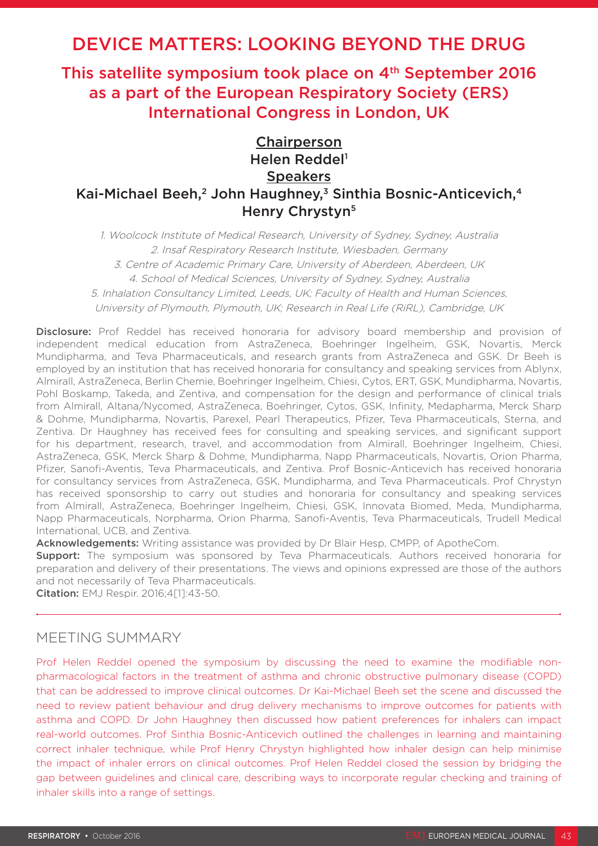# DEVICE MATTERS: LOOKING BEYOND THE DRUG

This satellite symposium took place on 4<sup>th</sup> September 2016 as a part of the European Respiratory Society (ERS) International Congress in London, UK

# Chairperson Helen Reddel<sup>1</sup> **Speakers** Kai-Michael Beeh,<sup>2</sup> John Haughney,<sup>3</sup> Sinthia Bosnic-Anticevich,<sup>4</sup> Henry Chrystyn<sup>5</sup>

1. Woolcock Institute of Medical Research, University of Sydney, Sydney, Australia 2. Insaf Respiratory Research Institute, Wiesbaden, Germany 3. Centre of Academic Primary Care, University of Aberdeen, Aberdeen, UK 4. School of Medical Sciences, University of Sydney, Sydney, Australia 5. Inhalation Consultancy Limited, Leeds, UK; Faculty of Health and Human Sciences, University of Plymouth, Plymouth, UK; Research in Real Life (RiRL), Cambridge, UK

Disclosure: Prof Reddel has received honoraria for advisory board membership and provision of independent medical education from AstraZeneca, Boehringer Ingelheim, GSK, Novartis, Merck Mundipharma, and Teva Pharmaceuticals, and research grants from AstraZeneca and GSK. Dr Beeh is employed by an institution that has received honoraria for consultancy and speaking services from Ablynx, Almirall, AstraZeneca, Berlin Chemie, Boehringer Ingelheim, Chiesi, Cytos, ERT, GSK, Mundipharma, Novartis, Pohl Boskamp, Takeda, and Zentiva, and compensation for the design and performance of clinical trials from Almirall, Altana/Nycomed, AstraZeneca, Boehringer, Cytos, GSK, Infinity, Medapharma, Merck Sharp & Dohme, Mundipharma, Novartis, Parexel, Pearl Therapeutics, Pfizer, Teva Pharmaceuticals, Sterna, and Zentiva. Dr Haughney has received fees for consulting and speaking services, and significant support for his department, research, travel, and accommodation from Almirall, Boehringer Ingelheim, Chiesi, AstraZeneca, GSK, Merck Sharp & Dohme, Mundipharma, Napp Pharmaceuticals, Novartis, Orion Pharma, Pfizer, Sanofi-Aventis, Teva Pharmaceuticals, and Zentiva. Prof Bosnic-Anticevich has received honoraria for consultancy services from AstraZeneca, GSK, Mundipharma, and Teva Pharmaceuticals. Prof Chrystyn has received sponsorship to carry out studies and honoraria for consultancy and speaking services from Almirall, AstraZeneca, Boehringer Ingelheim, Chiesi, GSK, Innovata Biomed, Meda, Mundipharma, Napp Pharmaceuticals, Norpharma, Orion Pharma, Sanofi-Aventis, Teva Pharmaceuticals, Trudell Medical International, UCB, and Zentiva.

Acknowledgements: Writing assistance was provided by Dr Blair Hesp, CMPP, of ApotheCom.

**Support:** The symposium was sponsored by Teva Pharmaceuticals. Authors received honoraria for preparation and delivery of their presentations. The views and opinions expressed are those of the authors and not necessarily of Teva Pharmaceuticals.

Citation: EMJ Respir. 2016;4[1]:43-50.

# MEETING SUMMARY

Prof Helen Reddel opened the symposium by discussing the need to examine the modifiable nonpharmacological factors in the treatment of asthma and chronic obstructive pulmonary disease (COPD) that can be addressed to improve clinical outcomes. Dr Kai-Michael Beeh set the scene and discussed the need to review patient behaviour and drug delivery mechanisms to improve outcomes for patients with asthma and COPD. Dr John Haughney then discussed how patient preferences for inhalers can impact real-world outcomes. Prof Sinthia Bosnic-Anticevich outlined the challenges in learning and maintaining correct inhaler technique, while Prof Henry Chrystyn highlighted how inhaler design can help minimise the impact of inhaler errors on clinical outcomes. Prof Helen Reddel closed the session by bridging the gap between guidelines and clinical care, describing ways to incorporate regular checking and training of inhaler skills into a range of settings.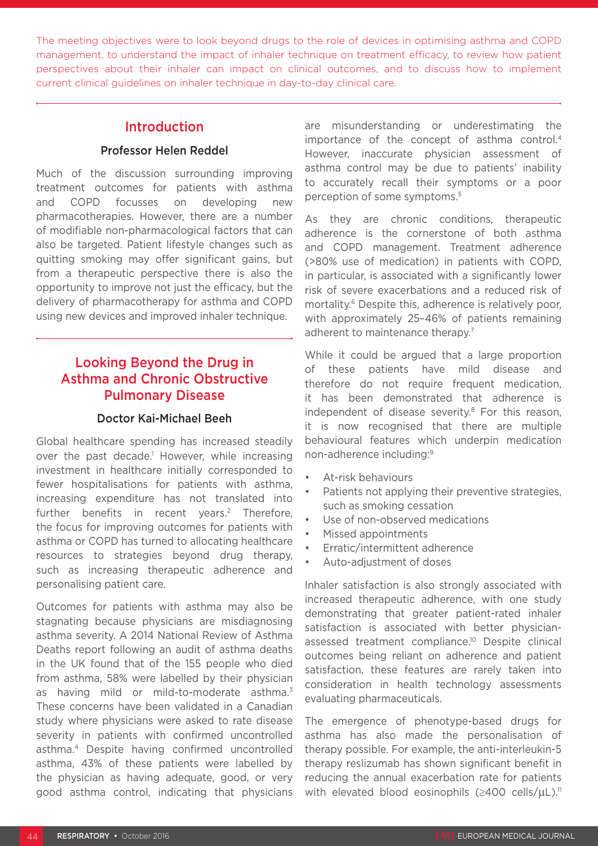The meeting objectives were to look beyond drugs to the role of devices in optimising asthma and COPD management, to understand the impact of inhaler technique on treatment efficacy, to review how patient perspectives about their inhaler can impact on clinical outcomes, and to discuss how to implement current clinical guidelines on inhaler technique in day-to-day clinical care.

### Introduction

### Professor Helen Reddel

Much of the discussion surrounding improving treatment outcomes for patients with asthma and COPD focusses on developing new pharmacotherapies. However, there are a number of modifiable non-pharmacological factors that can also be targeted. Patient lifestyle changes such as quitting smoking may offer significant gains, but from a therapeutic perspective there is also the opportunity to improve not just the efficacy, but the delivery of pharmacotherapy for asthma and COPD using new devices and improved inhaler technique.

# Looking Beyond the Drug in Asthma and Chronic Obstructive Pulmonary Disease

#### Doctor Kai-Michael Beeh

Global healthcare spending has increased steadily over the past decade.<sup>1</sup> However, while increasing investment in healthcare initially corresponded to fewer hospitalisations for patients with asthma, increasing expenditure has not translated into further benefits in recent years.<sup>2</sup> Therefore, the focus for improving outcomes for patients with asthma or COPD has turned to allocating healthcare resources to strategies beyond drug therapy, such as increasing therapeutic adherence and personalising patient care.

Outcomes for patients with asthma may also be stagnating because physicians are misdiagnosing asthma severity. A 2014 National Review of Asthma Deaths report following an audit of asthma deaths in the UK found that of the 155 people who died from asthma, 58% were labelled by their physician as having mild or mild-to-moderate asthma.<sup>3</sup> These concerns have been validated in a Canadian study where physicians were asked to rate disease severity in patients with confirmed uncontrolled asthma.4 Despite having confirmed uncontrolled asthma, 43% of these patients were labelled by the physician as having adequate, good, or very good asthma control, indicating that physicians are misunderstanding or underestimating the importance of the concept of asthma control.<sup>4</sup> However, inaccurate physician assessment of asthma control may be due to patients' inability to accurately recall their symptoms or a poor perception of some symptoms.5

As they are chronic conditions, therapeutic adherence is the cornerstone of both asthma and COPD management. Treatment adherence (>80% use of medication) in patients with COPD, in particular, is associated with a significantly lower risk of severe exacerbations and a reduced risk of mortality.<sup>6</sup> Despite this, adherence is relatively poor, with approximately 25–46% of patients remaining adherent to maintenance therapy.<sup>7</sup>

While it could be argued that a large proportion of these patients have mild disease and therefore do not require frequent medication, it has been demonstrated that adherence is independent of disease severity.<sup>8</sup> For this reason, it is now recognised that there are multiple behavioural features which underpin medication non-adherence including:9

- At-risk behaviours
- Patients not applying their preventive strategies. such as smoking cessation
- Use of non-observed medications
- Missed appointments
- Erratic/intermittent adherence
- Auto-adjustment of doses

Inhaler satisfaction is also strongly associated with increased therapeutic adherence, with one study demonstrating that greater patient-rated inhaler satisfaction is associated with better physicianassessed treatment compliance.10 Despite clinical outcomes being reliant on adherence and patient satisfaction, these features are rarely taken into consideration in health technology assessments evaluating pharmaceuticals.

The emergence of phenotype-based drugs for asthma has also made the personalisation of therapy possible. For example, the anti-interleukin-5 therapy reslizumab has shown significant benefit in reducing the annual exacerbation rate for patients with elevated blood eosinophils ( $\geq$ 400 cells/ $\mu$ L).<sup>11</sup>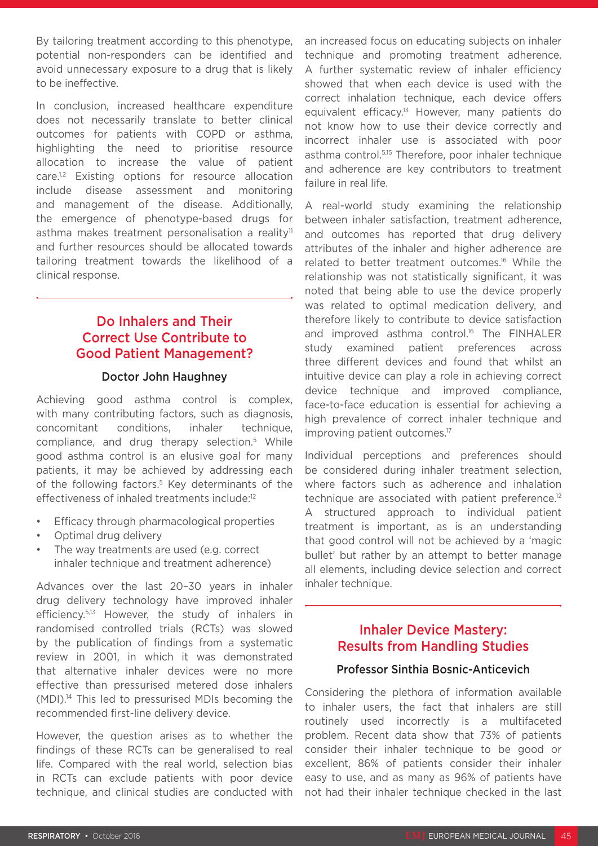By tailoring treatment according to this phenotype, potential non-responders can be identified and avoid unnecessary exposure to a drug that is likely to be ineffective.

In conclusion, increased healthcare expenditure does not necessarily translate to better clinical outcomes for patients with COPD or asthma, highlighting the need to prioritise resource allocation to increase the value of patient care.<sup>1,2</sup> Existing options for resource allocation include disease assessment and monitoring and management of the disease. Additionally, the emergence of phenotype-based drugs for asthma makes treatment personalisation a reality<sup>11</sup> and further resources should be allocated towards tailoring treatment towards the likelihood of a clinical response.

# Do Inhalers and Their Correct Use Contribute to Good Patient Management?

#### Doctor John Haughney

Achieving good asthma control is complex, with many contributing factors, such as diagnosis, concomitant conditions, inhaler technique, compliance, and drug therapy selection.5 While good asthma control is an elusive goal for many patients, it may be achieved by addressing each of the following factors.<sup>5</sup> Key determinants of the effectiveness of inhaled treatments include:12

- Efficacy through pharmacological properties
- Optimal drug delivery
- The way treatments are used (e.g. correct inhaler technique and treatment adherence)

Advances over the last 20–30 years in inhaler drug delivery technology have improved inhaler efficiency.5,13 However, the study of inhalers in randomised controlled trials (RCTs) was slowed by the publication of findings from a systematic review in 2001, in which it was demonstrated that alternative inhaler devices were no more effective than pressurised metered dose inhalers (MDI).14 This led to pressurised MDIs becoming the recommended first-line delivery device.

However, the question arises as to whether the findings of these RCTs can be generalised to real life. Compared with the real world, selection bias in RCTs can exclude patients with poor device technique, and clinical studies are conducted with an increased focus on educating subjects on inhaler technique and promoting treatment adherence. A further systematic review of inhaler efficiency showed that when each device is used with the correct inhalation technique, each device offers equivalent efficacy.<sup>13</sup> However, many patients do not know how to use their device correctly and incorrect inhaler use is associated with poor asthma control.5,15 Therefore, poor inhaler technique and adherence are key contributors to treatment failure in real life.

A real-world study examining the relationship between inhaler satisfaction, treatment adherence, and outcomes has reported that drug delivery attributes of the inhaler and higher adherence are related to better treatment outcomes.16 While the relationship was not statistically significant, it was noted that being able to use the device properly was related to optimal medication delivery, and therefore likely to contribute to device satisfaction and improved asthma control.<sup>16</sup> The FINHALER study examined patient preferences across three different devices and found that whilst an intuitive device can play a role in achieving correct device technique and improved compliance, face-to-face education is essential for achieving a high prevalence of correct inhaler technique and improving patient outcomes.<sup>17</sup>

Individual perceptions and preferences should be considered during inhaler treatment selection, where factors such as adherence and inhalation technique are associated with patient preference.<sup>12</sup> A structured approach to individual patient treatment is important, as is an understanding that good control will not be achieved by a 'magic bullet' but rather by an attempt to better manage all elements, including device selection and correct inhaler technique.

### Inhaler Device Mastery: Results from Handling Studies

#### Professor Sinthia Bosnic-Anticevich

Considering the plethora of information available to inhaler users, the fact that inhalers are still routinely used incorrectly is a multifaceted problem. Recent data show that 73% of patients consider their inhaler technique to be good or excellent, 86% of patients consider their inhaler easy to use, and as many as 96% of patients have not had their inhaler technique checked in the last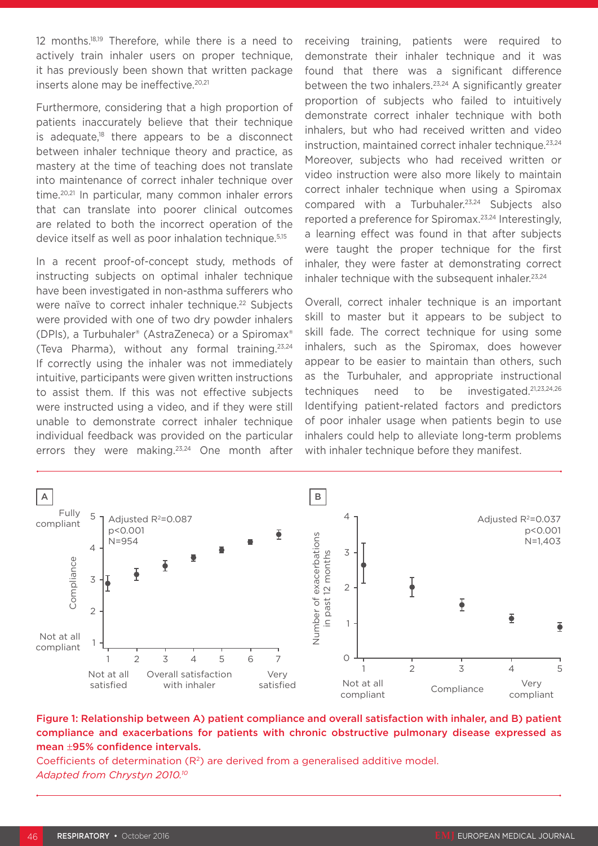12 months.18,19 Therefore, while there is a need to actively train inhaler users on proper technique, it has previously been shown that written package inserts alone may be ineffective.<sup>20,21</sup>

Furthermore, considering that a high proportion of patients inaccurately believe that their technique is adequate, $18$  there appears to be a disconnect between inhaler technique theory and practice, as mastery at the time of teaching does not translate into maintenance of correct inhaler technique over time.20,21 In particular, many common inhaler errors that can translate into poorer clinical outcomes are related to both the incorrect operation of the device itself as well as poor inhalation technique.5,15

In a recent proof-of-concept study, methods of instructing subjects on optimal inhaler technique have been investigated in non-asthma sufferers who were naïve to correct inhaler technique.<sup>22</sup> Subjects were provided with one of two dry powder inhalers (DPIs), a Turbuhaler® (AstraZeneca) or a Spiromax® (Teva Pharma), without any formal training.23,24 If correctly using the inhaler was not immediately intuitive, participants were given written instructions to assist them. If this was not effective subjects were instructed using a video, and if they were still unable to demonstrate correct inhaler technique individual feedback was provided on the particular errors they were making.23,24 One month after receiving training, patients were required to demonstrate their inhaler technique and it was found that there was a significant difference between the two inhalers.<sup>23,24</sup> A significantly greater proportion of subjects who failed to intuitively demonstrate correct inhaler technique with both inhalers, but who had received written and video instruction, maintained correct inhaler technique.23,24 Moreover, subjects who had received written or video instruction were also more likely to maintain correct inhaler technique when using a Spiromax compared with a Turbuhaler.23,24 Subjects also reported a preference for Spiromax.23,24 Interestingly, a learning effect was found in that after subjects were taught the proper technique for the first inhaler, they were faster at demonstrating correct inhaler technique with the subsequent inhaler. $23,24$ 

Overall, correct inhaler technique is an important skill to master but it appears to be subject to skill fade. The correct technique for using some inhalers, such as the Spiromax, does however appear to be easier to maintain than others, such as the Turbuhaler, and appropriate instructional techniques need to be investigated.21,23,24,26 Identifying patient-related factors and predictors of poor inhaler usage when patients begin to use inhalers could help to alleviate long-term problems with inhaler technique before they manifest.



#### Figure 1: Relationship between A) patient compliance and overall satisfaction with inhaler, and B) patient compliance and exacerbations for patients with chronic obstructive pulmonary disease expressed as mean ±95% confidence intervals.

Coefficients of determination  $(R^2)$  are derived from a generalised additive model. *Adapted from Chrystyn 2010.10*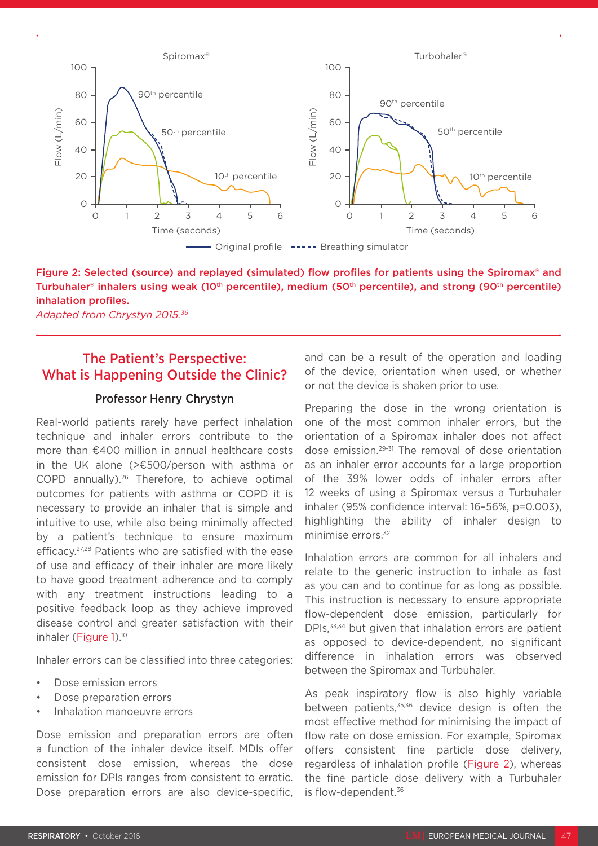

### Figure 2: Selected (source) and replayed (simulated) flow profiles for patients using the Spiromax® and Turbuhaler® inhalers using weak (10<sup>th</sup> percentile), medium (50<sup>th</sup> percentile), and strong (90<sup>th</sup> percentile) inhalation profiles.

## The Patient's Perspective: What is Happening Outside the Clinic?

#### Professor Henry Chrystyn

Real-world patients rarely have perfect inhalation technique and inhaler errors contribute to the more than €400 million in annual healthcare costs in the UK alone (>€500/person with asthma or COPD annually).26 Therefore, to achieve optimal outcomes for patients with asthma or COPD it is necessary to provide an inhaler that is simple and intuitive to use, while also being minimally affected by a patient's technique to ensure maximum efficacy.27,28 Patients who are satisfied with the ease of use and efficacy of their inhaler are more likely to have good treatment adherence and to comply with any treatment instructions leading to a positive feedback loop as they achieve improved disease control and greater satisfaction with their inhaler (Figure 1).<sup>10</sup>

Inhaler errors can be classified into three categories:

- Dose emission errors
- Dose preparation errors
- Inhalation manoeuvre errors

Dose emission and preparation errors are often a function of the inhaler device itself. MDIs offer consistent dose emission, whereas the dose emission for DPIs ranges from consistent to erratic. Dose preparation errors are also device-specific, and can be a result of the operation and loading of the device, orientation when used, or whether or not the device is shaken prior to use.

Preparing the dose in the wrong orientation is one of the most common inhaler errors, but the orientation of a Spiromax inhaler does not affect dose emission.29-31 The removal of dose orientation as an inhaler error accounts for a large proportion of the 39% lower odds of inhaler errors after 12 weeks of using a Spiromax versus a Turbuhaler inhaler (95% confidence interval: 16–56%, p=0.003), highlighting the ability of inhaler design to minimise errors.<sup>32</sup>

Inhalation errors are common for all inhalers and relate to the generic instruction to inhale as fast as you can and to continue for as long as possible. This instruction is necessary to ensure appropriate flow-dependent dose emission, particularly for DPIs,<sup>33,34</sup> but given that inhalation errors are patient as opposed to device-dependent, no significant difference in inhalation errors was observed between the Spiromax and Turbuhaler.

As peak inspiratory flow is also highly variable between patients,<sup>35,36</sup> device design is often the most effective method for minimising the impact of flow rate on dose emission. For example, Spiromax offers consistent fine particle dose delivery, regardless of inhalation profile (Figure 2), whereas the fine particle dose delivery with a Turbuhaler is flow-dependent.<sup>36</sup>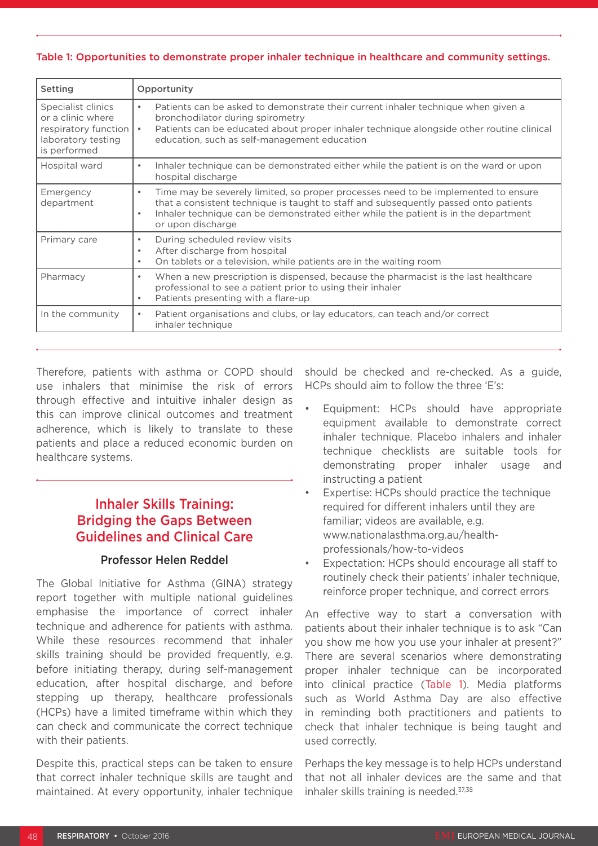#### Table 1: Opportunities to demonstrate proper inhaler technique in healthcare and community settings.

| Setting                                                                                                 | Opportunity                                                                                                                                                                                                                                                                                                      |
|---------------------------------------------------------------------------------------------------------|------------------------------------------------------------------------------------------------------------------------------------------------------------------------------------------------------------------------------------------------------------------------------------------------------------------|
| Specialist clinics<br>or a clinic where<br>respiratory function  <br>laboratory testing<br>is performed | Patients can be asked to demonstrate their current inhaler technique when given a<br>$\bullet$<br>bronchodilator during spirometry<br>Patients can be educated about proper inhaler technique alongside other routine clinical<br>$\bullet$<br>education, such as self-management education                      |
| Hospital ward                                                                                           | Inhaler technique can be demonstrated either while the patient is on the ward or upon<br>$\bullet$<br>hospital discharge                                                                                                                                                                                         |
| Emergency<br>department                                                                                 | Time may be severely limited, so proper processes need to be implemented to ensure<br>$\bullet$<br>that a consistent technique is taught to staff and subsequently passed onto patients<br>Inhaler technique can be demonstrated either while the patient is in the department<br>$\bullet$<br>or upon discharge |
| Primary care                                                                                            | During scheduled review visits<br>$\bullet$<br>After discharge from hospital<br>$\bullet$<br>On tablets or a television, while patients are in the waiting room<br>$\bullet$                                                                                                                                     |
| Pharmacy                                                                                                | When a new prescription is dispensed, because the pharmacist is the last healthcare<br>$\bullet$<br>professional to see a patient prior to using their inhaler<br>Patients presenting with a flare-up<br>$\bullet$                                                                                               |
| In the community                                                                                        | Patient organisations and clubs, or lay educators, can teach and/or correct<br>inhaler technique                                                                                                                                                                                                                 |

Therefore, patients with asthma or COPD should use inhalers that minimise the risk of errors through effective and intuitive inhaler design as this can improve clinical outcomes and treatment adherence, which is likely to translate to these patients and place a reduced economic burden on healthcare systems.

# Inhaler Skills Training: Bridging the Gaps Between Guidelines and Clinical Care

### Professor Helen Reddel

The Global Initiative for Asthma (GINA) strategy report together with multiple national guidelines emphasise the importance of correct inhaler technique and adherence for patients with asthma. While these resources recommend that inhaler skills training should be provided frequently, e.g. before initiating therapy, during self-management education, after hospital discharge, and before stepping up therapy, healthcare professionals (HCPs) have a limited timeframe within which they can check and communicate the correct technique with their patients.

Despite this, practical steps can be taken to ensure that correct inhaler technique skills are taught and maintained. At every opportunity, inhaler technique

should be checked and re-checked. As a guide, HCPs should aim to follow the three 'E's:

- Equipment: HCPs should have appropriate equipment available to demonstrate correct inhaler technique. Placebo inhalers and inhaler technique checklists are suitable tools for demonstrating proper inhaler usage and instructing a patient
- Expertise: HCPs should practice the technique required for different inhalers until they are familiar; videos are available, e.g. www.nationalasthma.org.au/healthprofessionals/how-to-videos
- Expectation: HCPs should encourage all staff to routinely check their patients' inhaler technique, reinforce proper technique, and correct errors

An effective way to start a conversation with patients about their inhaler technique is to ask "Can you show me how you use your inhaler at present?" There are several scenarios where demonstrating proper inhaler technique can be incorporated into clinical practice (Table 1). Media platforms such as World Asthma Day are also effective in reminding both practitioners and patients to check that inhaler technique is being taught and used correctly.

Perhaps the key message is to help HCPs understand that not all inhaler devices are the same and that inhaler skills training is needed.<sup>37,38</sup>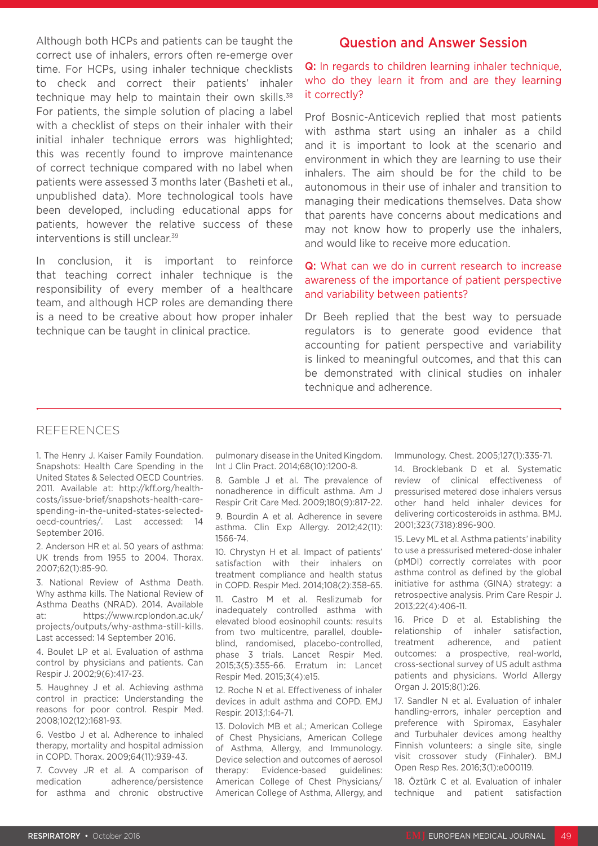Although both HCPs and patients can be taught the correct use of inhalers, errors often re-emerge over time. For HCPs, using inhaler technique checklists to check and correct their patients' inhaler technique may help to maintain their own skills.<sup>38</sup> For patients, the simple solution of placing a label with a checklist of steps on their inhaler with their initial inhaler technique errors was highlighted: this was recently found to improve maintenance of correct technique compared with no label when patients were assessed 3 months later (Basheti et al., unpublished data). More technological tools have been developed, including educational apps for patients, however the relative success of these interventions is still unclear.39

In conclusion, it is important to reinforce that teaching correct inhaler technique is the responsibility of every member of a healthcare team, and although HCP roles are demanding there is a need to be creative about how proper inhaler technique can be taught in clinical practice.

### Question and Answer Session

Q: In regards to children learning inhaler technique, who do they learn it from and are they learning it correctly?

Prof Bosnic-Anticevich replied that most patients with asthma start using an inhaler as a child and it is important to look at the scenario and environment in which they are learning to use their inhalers. The aim should be for the child to be autonomous in their use of inhaler and transition to managing their medications themselves. Data show that parents have concerns about medications and may not know how to properly use the inhalers, and would like to receive more education.

### Q: What can we do in current research to increase awareness of the importance of patient perspective and variability between patients?

Dr Beeh replied that the best way to persuade regulators is to generate good evidence that accounting for patient perspective and variability is linked to meaningful outcomes, and that this can be demonstrated with clinical studies on inhaler technique and adherence.

#### REFERENCES

1. The Henry J. Kaiser Family Foundation. Snapshots: Health Care Spending in the United States & Selected OECD Countries. 2011. Available at: http://kff.org/healthcosts/issue-brief/snapshots-health-carespending-in-the-united-states-selectedoecd-countries/. Last accessed: 14 September 2016.

2. Anderson HR et al. 50 years of asthma: UK trends from 1955 to 2004. Thorax. 2007;62(1):85-90.

3. National Review of Asthma Death. Why asthma kills. The National Review of Asthma Deaths (NRAD). 2014. Available at: https://www.rcplondon.ac.uk/ projects/outputs/why-asthma-still-kills. Last accessed: 14 September 2016.

4. Boulet LP et al. Evaluation of asthma control by physicians and patients. Can Respir J. 2002;9(6):417-23.

5. Haughney J et al. Achieving asthma control in practice: Understanding the reasons for poor control. Respir Med. 2008;102(12):1681-93.

6. Vestbo J et al. Adherence to inhaled therapy, mortality and hospital admission in COPD. Thorax. 2009;64(11):939-43.

7. Covvey JR et al. A comparison of medication adherence/persistence for asthma and chronic obstructive

pulmonary disease in the United Kingdom. Int J Clin Pract. 2014;68(10):1200-8.

8. Gamble J et al. The prevalence of nonadherence in difficult asthma. Am J Respir Crit Care Med. 2009;180(9):817-22.

9. Bourdin A et al. Adherence in severe asthma. Clin Exp Allergy. 2012;42(11): 1566-74.

10. Chrystyn H et al. Impact of patients' satisfaction with their inhalers on treatment compliance and health status in COPD. Respir Med. 2014;108(2):358-65.

11. Castro M et al. Reslizumab for inadequately controlled asthma with elevated blood eosinophil counts: results from two multicentre, parallel, doubleblind, randomised, placebo-controlled, phase 3 trials. Lancet Respir Med. 2015;3(5):355-66. Erratum in: Lancet Respir Med. 2015;3(4):e15.

12. Roche N et al. Effectiveness of inhaler devices in adult asthma and COPD. EMJ Respir. 2013;1:64-71.

13. Dolovich MB et al.; American College of Chest Physicians, American College of Asthma, Allergy, and Immunology. Device selection and outcomes of aerosol therapy: Evidence-based guidelines: American College of Chest Physicians/ American College of Asthma, Allergy, and

Immunology. Chest. 2005;127(1):335-71.

14. Brocklebank D et al. Systematic review of clinical effectiveness of pressurised metered dose inhalers versus other hand held inhaler devices for delivering corticosteroids in asthma. BMJ. 2001;323(7318):896-900.

15. Levy ML et al. Asthma patients' inability to use a pressurised metered-dose inhaler (pMDI) correctly correlates with poor asthma control as defined by the global initiative for asthma (GINA) strategy: a retrospective analysis. Prim Care Respir J. 2013;22(4):406-11.

16. Price D et al. Establishing the relationship of inhaler satisfaction, treatment adherence, and patient outcomes: a prospective, real-world, cross-sectional survey of US adult asthma patients and physicians. World Allergy Organ J. 2015;8(1):26.

17. Sandler N et al. Evaluation of inhaler handling-errors, inhaler perception and preference with Spiromax, Easyhaler and Turbuhaler devices among healthy Finnish volunteers: a single site, single visit crossover study (Finhaler). BMJ Open Resp Res. 2016;3(1):e000119.

18. Öztürk C et al. Evaluation of inhaler technique and patient satisfaction